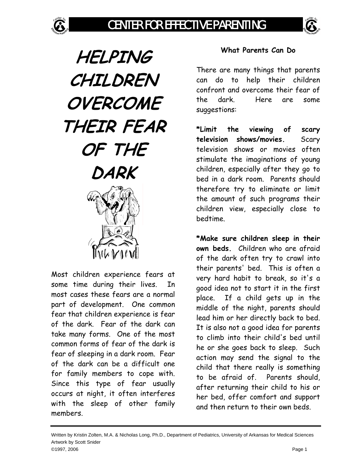G

**HELPING CHILDREN OVERCOME THEIR FEAR OF THE DARK** 

Most children experience fears at some time during their lives. In most cases these fears are a normal part of development. One common fear that children experience is fear of the dark. Fear of the dark can take many forms. One of the most common forms of fear of the dark is fear of sleeping in a dark room. Fear of the dark can be a difficult one for family members to cope with. Since this type of fear usually occurs at night, it often interferes with the sleep of other family members.

## **What Parents Can Do**

There are many things that parents can do to help their children confront and overcome their fear of the dark. Here are some suggestions:

**\*Limit the viewing of scary television shows/movies.** Scary television shows or movies often stimulate the imaginations of young children, especially after they go to bed in a dark room. Parents should therefore try to eliminate or limit the amount of such programs their children view, especially close to bedtime.

**\*Make sure children sleep in their own beds.** Children who are afraid of the dark often try to crawl into their parents' bed. This is often a very hard habit to break, so it's a good idea not to start it in the first place. If a child gets up in the middle of the night, parents should lead him or her directly back to bed. It is also not a good idea for parents to climb into their child's bed until he or she goes back to sleep. Such action may send the signal to the child that there really is something to be afraid of. Parents should, after returning their child to his or her bed, offer comfort and support and then return to their own beds.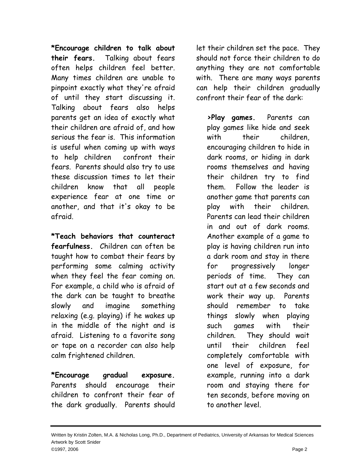**\*Encourage children to talk about their fears.** Talking about fears often helps children feel better. Many times children are unable to pinpoint exactly what they're afraid of until they start discussing it. Talking about fears also helps parents get an idea of exactly what their children are afraid of, and how serious the fear is. This information is useful when coming up with ways to help children confront their fears. Parents should also try to use these discussion times to let their children know that all people experience fear at one time or another, and that it's okay to be afraid.

**\*Teach behaviors that counteract fearfulness.** Children can often be taught how to combat their fears by performing some calming activity when they feel the fear coming on. For example, a child who is afraid of the dark can be taught to breathe slowly and imagine something relaxing (e.g. playing) if he wakes up in the middle of the night and is afraid. Listening to a favorite song or tape on a recorder can also help calm frightened children.

**\*Encourage gradual exposure.** Parents should encourage their children to confront their fear of the dark gradually. Parents should let their children set the pace. They should not force their children to do anything they are not comfortable with. There are many ways parents can help their children gradually confront their fear of the dark:

**>Play games.** Parents can play games like hide and seek with their children, encouraging children to hide in dark rooms, or hiding in dark rooms themselves and having their children try to find them. Follow the leader is another game that parents can play with their children. Parents can lead their children in and out of dark rooms. Another example of a game to play is having children run into a dark room and stay in there for progressively longer periods of time. They can start out at a few seconds and work their way up. Parents should remember to take things slowly when playing such games with their children. They should wait until their children feel completely comfortable with one level of exposure, for example, running into a dark room and staying there for ten seconds, before moving on to another level.